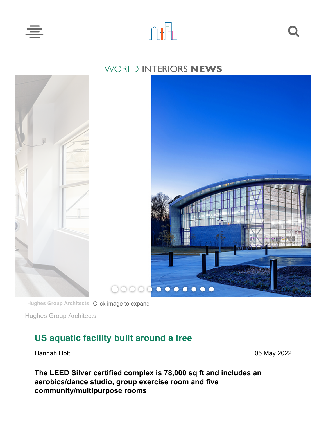



## WORLD INTERIORS NEWS



**Hughes Group Architects** Click image to [expand](https://cached.offlinehbpl.hbpl.co.uk/galleries/NAW/SAARC-1.jpg)

Hughes Group Architects

## **US aquatic facility built around a tree**

Hannah Holt 05 May 2022

**The LEED Silver certified complex is 78,000 sq ft and includes an aerobics/dance studio, group exercise room and five community/multipurpose rooms**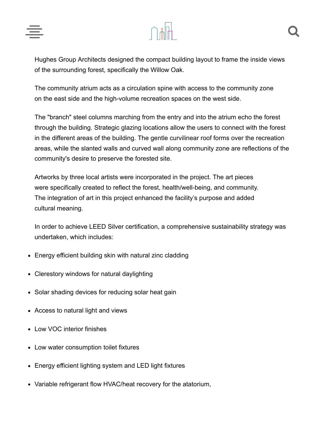

Hughes Group Architects designed the compact building layout to frame the inside views of the surrounding forest, specifically the Willow Oak.

The community atrium acts as a circulation spine with access to the community zone on the east side and the high-volume recreation spaces on the west side.

The "branch" steel columns marching from the entry and into the atrium echo the forest through the building. Strategic glazing locations allow the users to connect with the forest in the different areas of the building. The gentle curvilinear roof forms over the recreation areas, while the slanted walls and curved wall along community zone are reflections of the community's desire to preserve the forested site.

Artworks by three local artists were incorporated in the project. The art pieces were specifically created to reflect the forest, health/well-being, and community. The integration of art in this project enhanced the facility's purpose and added cultural meaning.

In order to achieve LEED Silver certification, a comprehensive sustainability strategy was undertaken, which includes:

- Energy efficient building skin with natural zinc cladding
- Clerestory windows for natural daylighting
- Solar shading devices for reducing solar heat gain
- Access to natural light and views
- Low VOC interior finishes
- Low water consumption toilet fixtures
- Energy efficient lighting system and LED light fixtures
- Variable refrigerant flow HVAC/heat recovery for the atatorium,